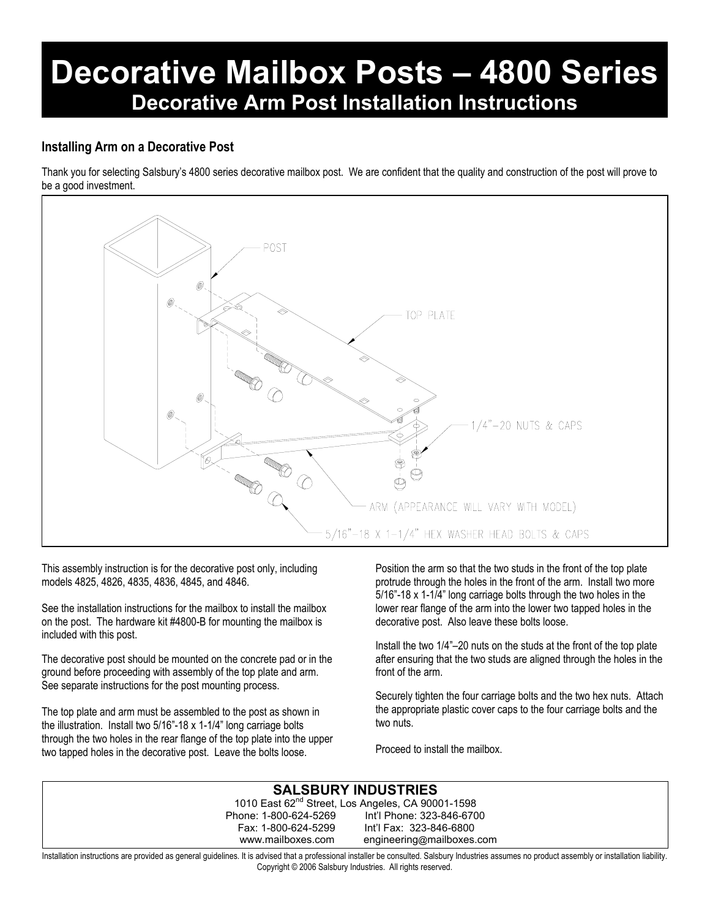# **Decorative Mailbox Posts – 4800 Series Decorative Arm Post Installation Instructions**

#### **Installing Arm on a Decorative Post**

Thank you for selecting Salsbury's 4800 series decorative mailbox post. We are confident that the quality and construction of the post will prove to be a good investment.



This assembly instruction is for the decorative post only, including models 4825, 4826, 4835, 4836, 4845, and 4846.

See the installation instructions for the mailbox to install the mailbox on the post. The hardware kit #4800-B for mounting the mailbox is included with this post.

The decorative post should be mounted on the concrete pad or in the ground before proceeding with assembly of the top plate and arm. See separate instructions for the post mounting process.

The top plate and arm must be assembled to the post as shown in the illustration. Install two 5/16"-18 x 1-1/4" long carriage bolts through the two holes in the rear flange of the top plate into the upper two tapped holes in the decorative post. Leave the bolts loose.

Position the arm so that the two studs in the front of the top plate protrude through the holes in the front of the arm. Install two more 5/16"-18 x 1-1/4" long carriage bolts through the two holes in the lower rear flange of the arm into the lower two tapped holes in the decorative post. Also leave these bolts loose.

Install the two 1/4"–20 nuts on the studs at the front of the top plate after ensuring that the two studs are aligned through the holes in the front of the arm.

Securely tighten the four carriage bolts and the two hex nuts. Attach the appropriate plastic cover caps to the four carriage bolts and the two nuts.

Proceed to install the mailbox.

#### **SALSBURY INDUSTRIES**

1010 East 62<sup>nd</sup> Street, Los Angeles, CA 90001-1598<br>Phone: 1-800-624-5269 Int'l Phone: 323-846-670 Int'l Phone: 323-846-6700 Fax: 1-800-624-5299 Int'l Fax: 323-846-6800 www.mailboxes.com engineering@mailboxes.com

Installation instructions are provided as general guidelines. It is advised that a professional installer be consulted. Salsbury Industries assumes no product assembly or installation liability. Copyright © 2006 Salsbury Industries. All rights reserved.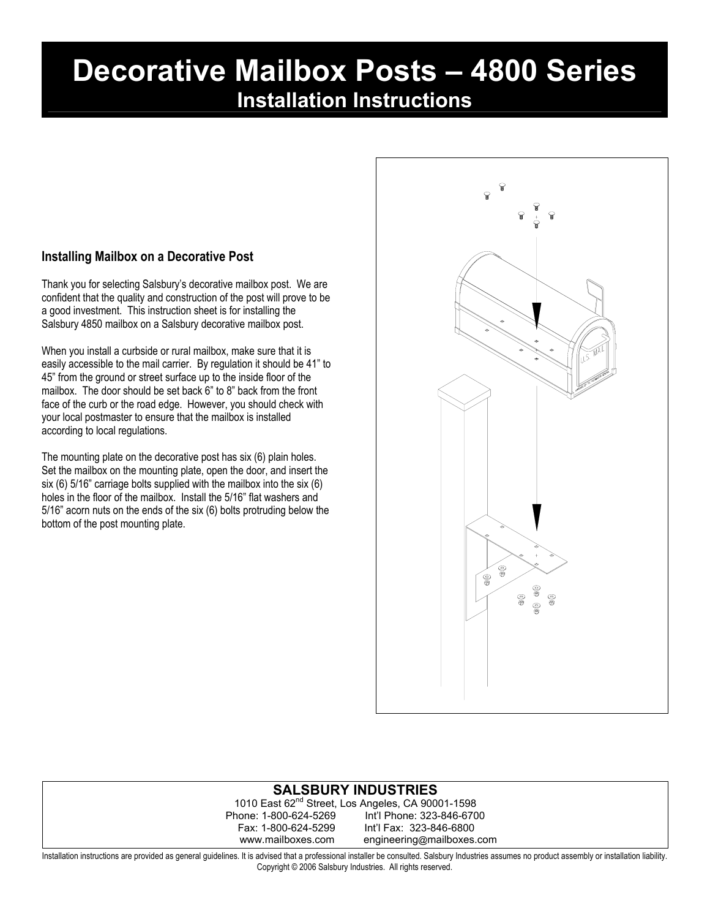### **Decorative Mailbox Posts – 4800 Series Installation Instructions**

#### **Installing Mailbox on a Decorative Post**

Thank you for selecting Salsbury's decorative mailbox post. We are confident that the quality and construction of the post will prove to be a good investment. This instruction sheet is for installing the Salsbury 4850 mailbox on a Salsbury decorative mailbox post.

When you install a curbside or rural mailbox, make sure that it is easily accessible to the mail carrier. By regulation it should be 41" to 45" from the ground or street surface up to the inside floor of the mailbox. The door should be set back 6" to 8" back from the front face of the curb or the road edge. However, you should check with your local postmaster to ensure that the mailbox is installed according to local regulations.

The mounting plate on the decorative post has six (6) plain holes. Set the mailbox on the mounting plate, open the door, and insert the six (6) 5/16" carriage bolts supplied with the mailbox into the six (6) holes in the floor of the mailbox. Install the 5/16" flat washers and 5/16" acorn nuts on the ends of the six (6) bolts protruding below the bottom of the post mounting plate.



#### **SALSBURY INDUSTRIES**

1010 East 62<sup>nd</sup> Street, Los Angeles, CA 90001-1598<br>Phone: 1-800-624-5269 Int'l Phone: 323-846-670 Int'l Phone: 323-846-6700 Fax: 1-800-624-5299 Int'l Fax: 323-846-6800 www.mailboxes.com engineering@mailboxes.com

Installation instructions are provided as general guidelines. It is advised that a professional installer be consulted. Salsbury Industries assumes no product assembly or installation liability. Copyright © 2006 Salsbury Industries. All rights reserved.